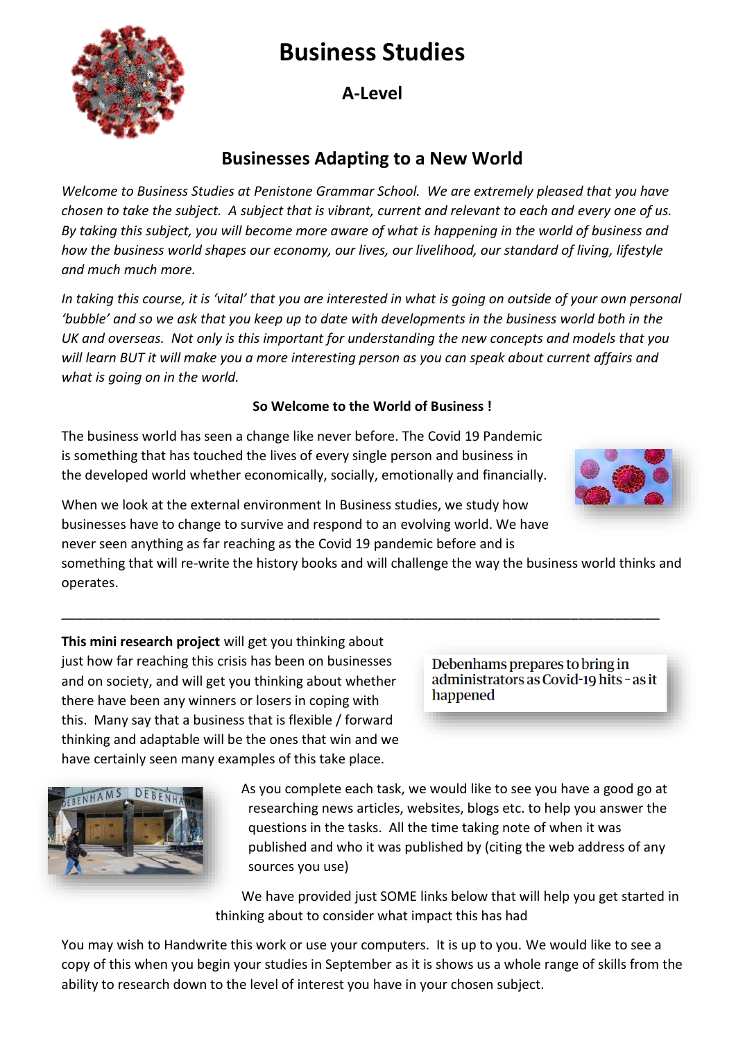# **Business Studies**

**A-Level**

## **Businesses Adapting to a New World**

*Welcome to Business Studies at Penistone Grammar School. We are extremely pleased that you have chosen to take the subject. A subject that is vibrant, current and relevant to each and every one of us. By taking this subject, you will become more aware of what is happening in the world of business and how the business world shapes our economy, our lives, our livelihood, our standard of living, lifestyle and much much more.* 

*In taking this course, it is 'vital' that you are interested in what is going on outside of your own personal 'bubble' and so we ask that you keep up to date with developments in the business world both in the UK and overseas. Not only is this important for understanding the new concepts and models that you will learn BUT it will make you a more interesting person as you can speak about current affairs and what is going on in the world.* 

#### **So Welcome to the World of Business !**

The business world has seen a change like never before. The Covid 19 Pandemic is something that has touched the lives of every single person and business in the developed world whether economically, socially, emotionally and financially.

When we look at the external environment In Business studies, we study how businesses have to change to survive and respond to an evolving world. We have never seen anything as far reaching as the Covid 19 pandemic before and is

something that will re-write the history books and will challenge the way the business world thinks and operates.

\_\_\_\_\_\_\_\_\_\_\_\_\_\_\_\_\_\_\_\_\_\_\_\_\_\_\_\_\_\_\_\_\_\_\_\_\_\_\_\_\_\_\_\_\_\_\_\_\_\_\_\_\_\_\_\_\_\_\_\_\_\_\_\_\_\_\_\_\_\_\_\_\_\_\_\_\_\_\_\_\_

**This mini research project** will get you thinking about just how far reaching this crisis has been on businesses and on society, and will get you thinking about whether there have been any winners or losers in coping with this. Many say that a business that is flexible / forward thinking and adaptable will be the ones that win and we have certainly seen many examples of this take place.

Debenhams prepares to bring in administrators as Covid-19 hits - as it happened

questions in the tasks. All the time taking note of when it was published and who it was published by (citing the web address of any sources you use)

As you complete each task, we would like to see you have a good go at researching news articles, websites, blogs etc. to help you answer the

We have provided just SOME links below that will help you get started in thinking about to consider what impact this has had

You may wish to Handwrite this work or use your computers. It is up to you. We would like to see a copy of this when you begin your studies in September as it is shows us a whole range of skills from the ability to research down to the level of interest you have in your chosen subject.





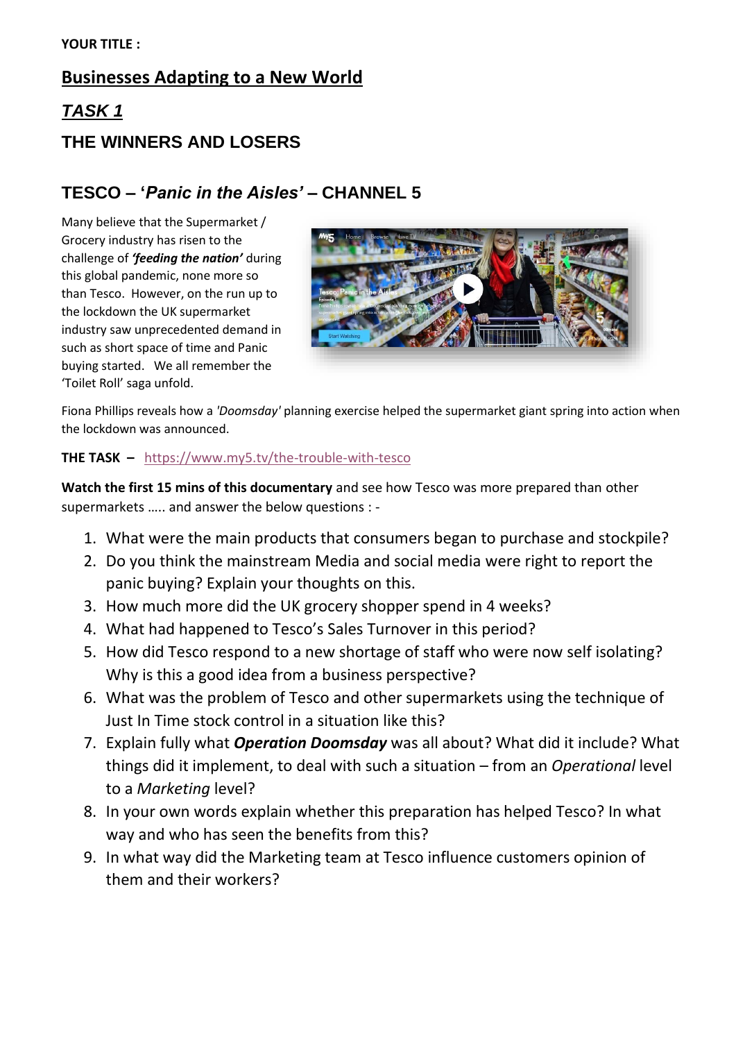### **Businesses Adapting to a New World**

# *TASK 1*  **THE WINNERS AND LOSERS**

### **TESCO – '***Panic in the Aisles'* **– CHANNEL 5**

Many believe that the Supermarket / Grocery industry has risen to the challenge of *'feeding the nation'* during this global pandemic, none more so than Tesco. However, on the run up to the lockdown the UK supermarket industry saw unprecedented demand in such as short space of time and Panic buying started. We all remember the 'Toilet Roll' saga unfold.



Fiona Phillips reveals how a *'Doomsday'* planning exercise helped the supermarket giant spring into action when the lockdown was announced.

#### **THE TASK –** <https://www.my5.tv/the-trouble-with-tesco>

**Watch the first 15 mins of this documentary** and see how Tesco was more prepared than other supermarkets ….. and answer the below questions : -

- 1. What were the main products that consumers began to purchase and stockpile?
- 2. Do you think the mainstream Media and social media were right to report the panic buying? Explain your thoughts on this.
- 3. How much more did the UK grocery shopper spend in 4 weeks?
- 4. What had happened to Tesco's Sales Turnover in this period?
- 5. How did Tesco respond to a new shortage of staff who were now self isolating? Why is this a good idea from a business perspective?
- 6. What was the problem of Tesco and other supermarkets using the technique of Just In Time stock control in a situation like this?
- 7. Explain fully what *Operation Doomsday* was all about? What did it include? What things did it implement, to deal with such a situation – from an *Operational* level to a *Marketing* level?
- 8. In your own words explain whether this preparation has helped Tesco? In what way and who has seen the benefits from this?
- 9. In what way did the Marketing team at Tesco influence customers opinion of them and their workers?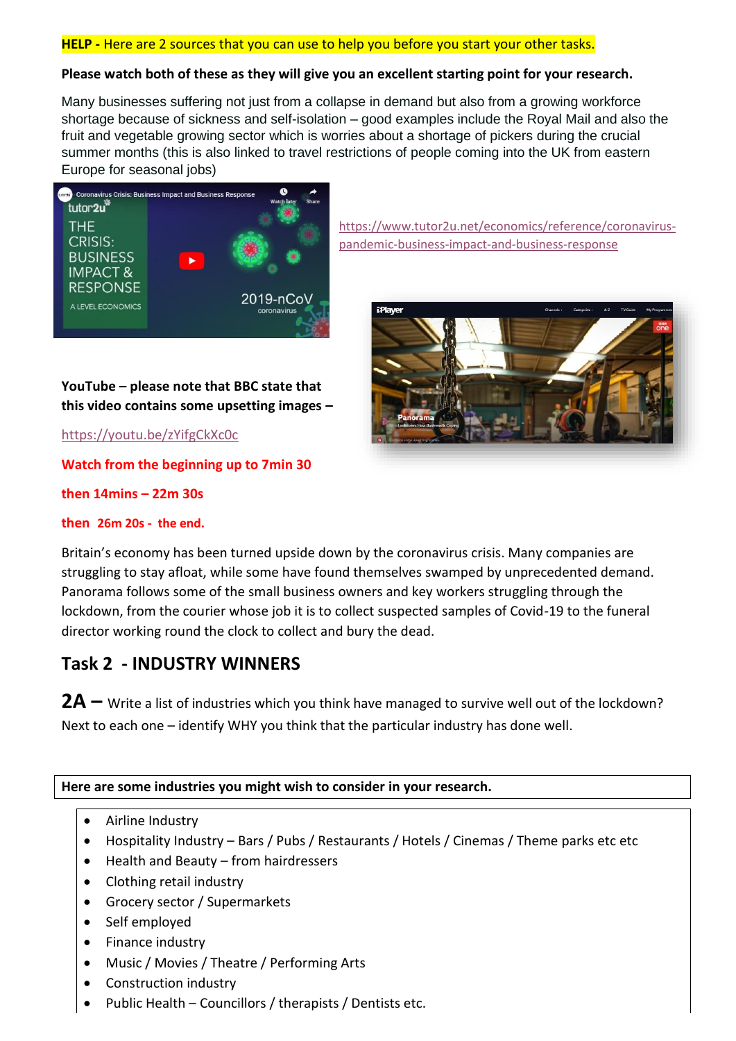#### **HELP -** Here are 2 sources that you can use to help you before you start your other tasks.

#### **Please watch both of these as they will give you an excellent starting point for your research.**

Many businesses suffering not just from a collapse in demand but also from a growing workforce shortage because of sickness and self-isolation – good examples include the Royal Mail and also the fruit and vegetable growing sector which is worries about a shortage of pickers during the crucial summer months (this is also linked to travel restrictions of people coming into the UK from eastern Europe for seasonal jobs)



[pandemic-business-impact-and-business-response](https://www.tutor2u.net/economics/reference/coronavirus-pandemic-business-impact-and-business-response)

[https://www.tutor2u.net/economics/reference/coronavirus-](https://www.tutor2u.net/economics/reference/coronavirus-pandemic-business-impact-and-business-response)



#### **YouTube – please note that BBC state that this video contains some upsetting images –**

<https://youtu.be/zYifgCkXc0c>

**Watch from the beginning up to 7min 30** 

**then 14mins – 22m 30s** 

#### **then 26m 20s - the end.**

Britain's economy has been turned upside down by the coronavirus crisis. Many companies are struggling to stay afloat, while some have found themselves swamped by unprecedented demand. Panorama follows some of the small business owners and key workers struggling through the lockdown, from the courier whose job it is to collect suspected samples of Covid-19 to the funeral director working round the clock to collect and bury the dead.

### **Task 2 - INDUSTRY WINNERS**

**2A –** Write a list of industries which you think have managed to survive well out of the lockdown? Next to each one – identify WHY you think that the particular industry has done well.

**Here are some industries you might wish to consider in your research.** 

- Airline Industry
- Hospitality Industry Bars / Pubs / Restaurants / Hotels / Cinemas / Theme parks etc etc
- Health and Beauty from hairdressers
- Clothing retail industry
- Grocery sector / Supermarkets
- Self employed
- Finance industry
- Music / Movies / Theatre / Performing Arts
- Construction industry
- Public Health Councillors / therapists / Dentists etc.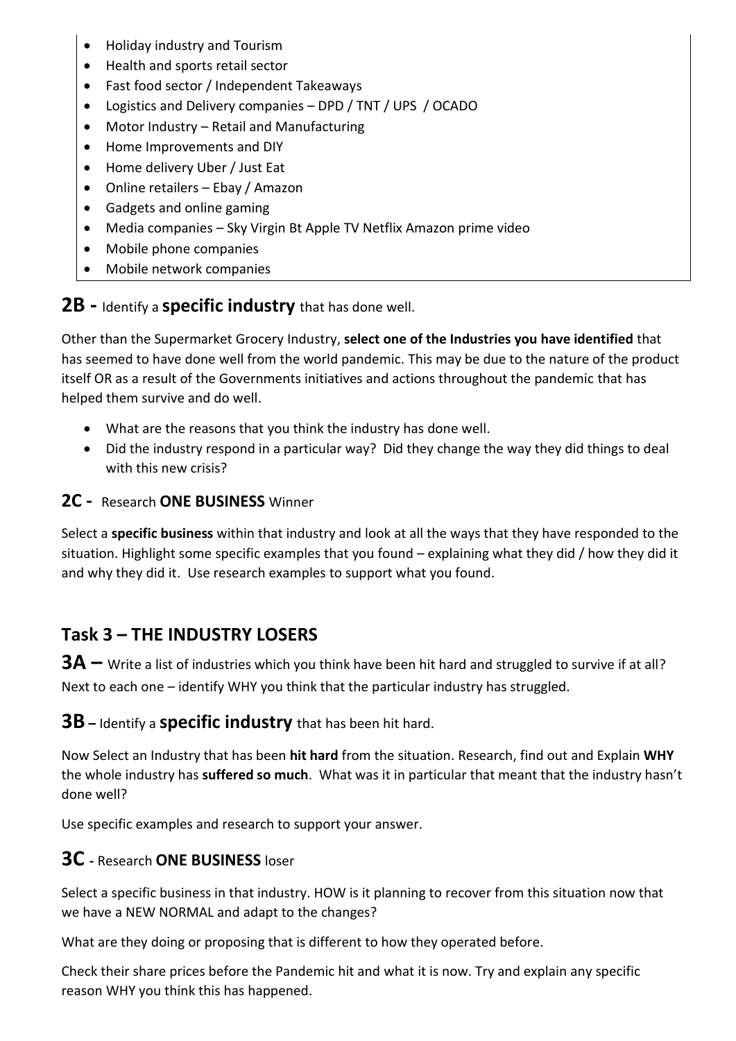- Holiday industry and Tourism
- Health and sports retail sector
- Fast food sector / Independent Takeaways
- Logistics and Delivery companies DPD / TNT / UPS / OCADO
- Motor Industry Retail and Manufacturing
- Home Improvements and DIY
- Home delivery Uber / Just Eat
- Online retailers Ebay / Amazon
- Gadgets and online gaming
- Media companies Sky Virgin Bt Apple TV Netflix Amazon prime video
- Mobile phone companies
- Mobile network companies

**2B -** Identify a **specific industry** that has done well.

Other than the Supermarket Grocery Industry, **select one of the Industries you have identified** that has seemed to have done well from the world pandemic. This may be due to the nature of the product itself OR as a result of the Governments initiatives and actions throughout the pandemic that has helped them survive and do well.

- What are the reasons that you think the industry has done well.
- Did the industry respond in a particular way? Did they change the way they did things to deal with this new crisis?

**2C -** Research **ONE BUSINESS** Winner

Select a **specific business** within that industry and look at all the ways that they have responded to the situation. Highlight some specific examples that you found – explaining what they did / how they did it and why they did it. Use research examples to support what you found.

### **Task 3 – THE INDUSTRY LOSERS**

**3A** – Write a list of industries which you think have been hit hard and struggled to survive if at all? Next to each one – identify WHY you think that the particular industry has struggled.

**3B –** Identify a **specific industry** that has been hit hard.

Now Select an Industry that has been **hit hard** from the situation. Research, find out and Explain **WHY** the whole industry has **suffered so much**. What was it in particular that meant that the industry hasn't done well?

Use specific examples and research to support your answer.

### **3C -** Research **ONE BUSINESS** loser

Select a specific business in that industry. HOW is it planning to recover from this situation now that we have a NEW NORMAL and adapt to the changes?

What are they doing or proposing that is different to how they operated before.

Check their share prices before the Pandemic hit and what it is now. Try and explain any specific reason WHY you think this has happened.